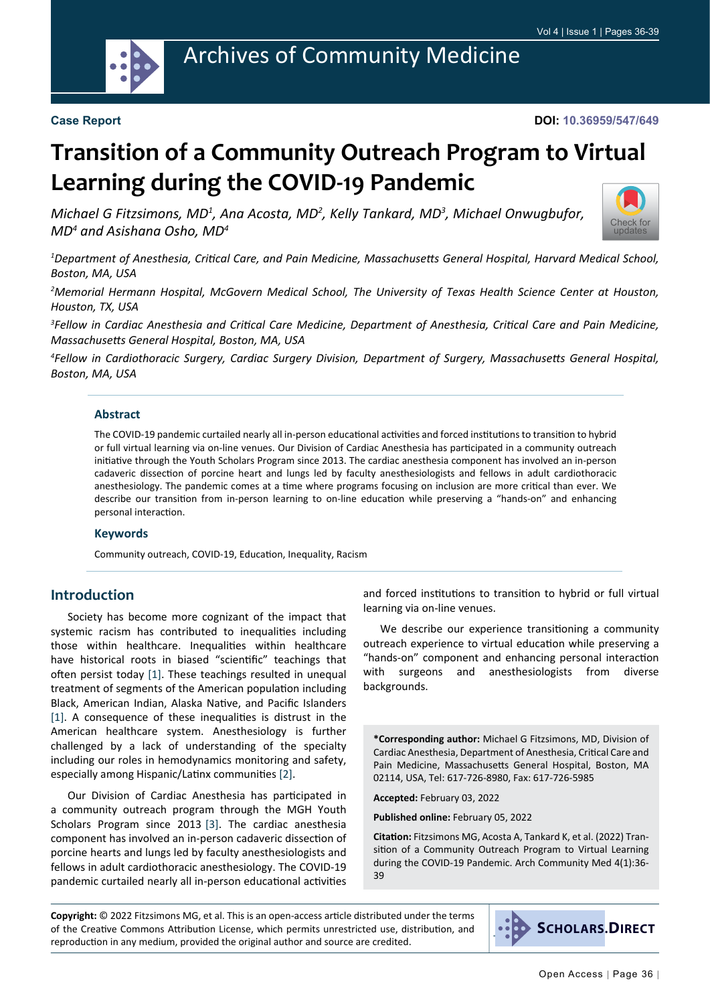

#### **Case Report**

#### **DOI: 10.36959/547/649**

# **Transition of a Community Outreach Program to Virtual Learning during the COVID-19 Pandemic**

*Michael G Fitzsimons, MD1 , Ana Acosta, MD2 , Kelly Tankard, MD3 , Michael Onwugbufor, MD4 and Asishana Osho, MD4*



*1 Department of Anesthesia, Critical Care, and Pain Medicine, Massachusetts General Hospital, Harvard Medical School, Boston, MA, USA*

*2 Memorial Hermann Hospital, McGovern Medical School, The University of Texas Health Science Center at Houston, Houston, TX, USA*

*3 Fellow in Cardiac Anesthesia and Critical Care Medicine, Department of Anesthesia, Critical Care and Pain Medicine, Massachusetts General Hospital, Boston, MA, USA*

*4 Fellow in Cardiothoracic Surgery, Cardiac Surgery Division, Department of Surgery, Massachusetts General Hospital, Boston, MA, USA*

#### **Abstract**

The COVID-19 pandemic curtailed nearly all in-person educational activities and forced institutions to transition to hybrid or full virtual learning via on-line venues. Our Division of Cardiac Anesthesia has participated in a community outreach initiative through the Youth Scholars Program since 2013. The cardiac anesthesia component has involved an in-person cadaveric dissection of porcine heart and lungs led by faculty anesthesiologists and fellows in adult cardiothoracic anesthesiology. The pandemic comes at a time where programs focusing on inclusion are more critical than ever. We describe our transition from in-person learning to on-line education while preserving a "hands-on" and enhancing personal interaction.

#### **Keywords**

Community outreach, COVID-19, Education, Inequality, Racism

# **Introduction**

Society has become more cognizant of the impact that systemic racism has contributed to inequalities including those within healthcare. Inequalities within healthcare have historical roots in biased "scientific" teachings that often persist today [\[1](#page-2-0)]. These teachings resulted in unequal treatment of segments of the American population including Black, American Indian, Alaska Native, and Pacific Islanders [[1\]](#page-2-0). A consequence of these inequalities is distrust in the American healthcare system. Anesthesiology is further challenged by a lack of understanding of the specialty including our roles in hemodynamics monitoring and safety, especially among Hispanic/Latinx communities [\[2](#page-2-1)].

Our Division of Cardiac Anesthesia has participated in a community outreach program through the MGH Youth Scholars Program since 2013 [\[3](#page-2-2)]. The cardiac anesthesia component has involved an in-person cadaveric dissection of porcine hearts and lungs led by faculty anesthesiologists and fellows in adult cardiothoracic anesthesiology. The COVID-19 pandemic curtailed nearly all in-person educational activities and forced institutions to transition to hybrid or full virtual learning via on-line venues.

We describe our experience transitioning a community outreach experience to virtual education while preserving a "hands-on" component and enhancing personal interaction with surgeons and anesthesiologists from diverse backgrounds.

**\*Corresponding author:** Michael G Fitzsimons, MD, Division of Cardiac Anesthesia, Department of Anesthesia, Critical Care and Pain Medicine, Massachusetts General Hospital, Boston, MA 02114, USA, Tel: 617-726-8980, Fax: 617-726-5985

**Accepted:** February 03, 2022

**Published online:** February 05, 2022

**Citation:** Fitzsimons MG, Acosta A, Tankard K, et al. (2022) Transition of a Community Outreach Program to Virtual Learning during the COVID-19 Pandemic. Arch Community Med 4(1):36- 39

**Copyright:** © 2022 Fitzsimons MG, et al. This is an open-access article distributed under the terms of the Creative Commons Attribution License, which permits unrestricted use, distribution, and reproduction in any medium, provided the original author and source are credited.

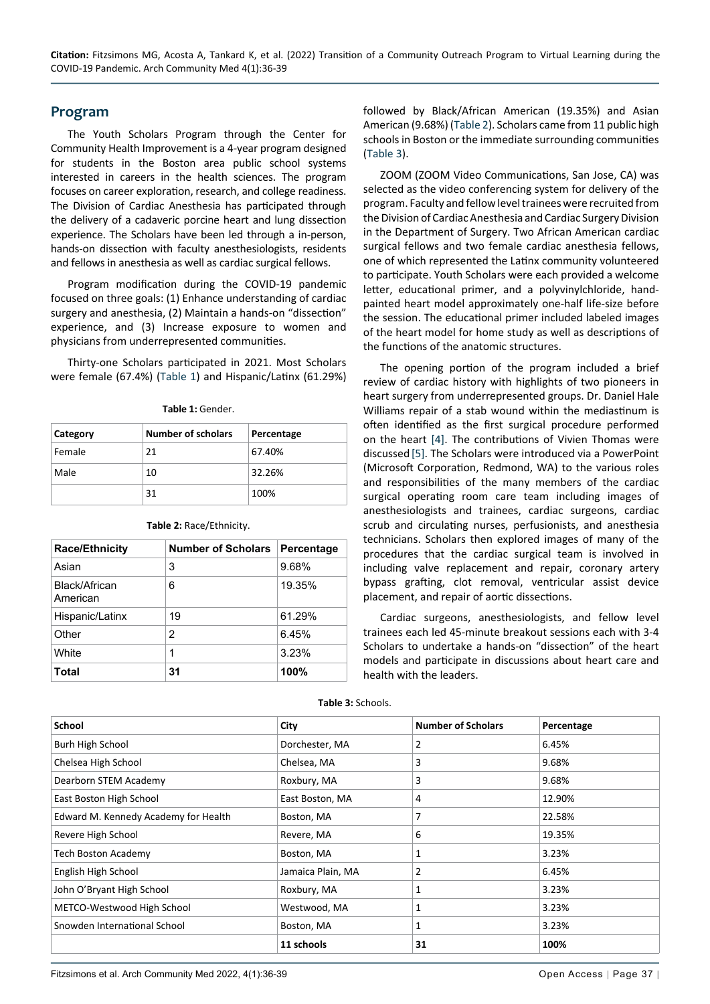#### **Program**

The Youth Scholars Program through the Center for Community Health Improvement is a 4-year program designed for students in the Boston area public school systems interested in careers in the health sciences. The program focuses on career exploration, research, and college readiness. The Division of Cardiac Anesthesia has participated through the delivery of a cadaveric porcine heart and lung dissection experience. The Scholars have been led through a in-person, hands-on dissection with faculty anesthesiologists, residents and fellows in anesthesia as well as cardiac surgical fellows.

Program modification during the COVID-19 pandemic focused on three goals: (1) Enhance understanding of cardiac surgery and anesthesia, (2) Maintain a hands-on "dissection" experience, and (3) Increase exposure to women and physicians from underrepresented communities.

Thirty-one Scholars participated in 2021. Most Scholars were female (67.4%) [\(Table 1\)](#page-1-0) and Hispanic/Latinx (61.29%)

<span id="page-1-0"></span>

| Table 1: Gender. |  |
|------------------|--|
|                  |  |

| Category | <b>Number of scholars</b> | Percentage |
|----------|---------------------------|------------|
| Female   | 21                        | 67.40%     |
| Male     | 10                        | 32.26%     |
|          | 31                        | 100%       |

| <b>Race/Ethnicity</b>     | <b>Number of Scholars</b> | Percentage |
|---------------------------|---------------------------|------------|
| Asian                     | 3                         | 9.68%      |
| Black/African<br>American | 6                         | 19.35%     |
| Hispanic/Latinx           | 19                        | 61.29%     |
| Other                     | $\mathcal{P}$             | 6.45%      |
| White                     | 1                         | 3.23%      |
| <b>Total</b>              | 31                        | 100%       |

<span id="page-1-1"></span>**Table 2:** Race/Ethnicity.

followed by Black/African American (19.35%) and Asian American (9.68%) ([Table 2\)](#page-1-1). Scholars came from 11 public high schools in Boston or the immediate surrounding communities ([Table 3](#page-1-2)).

ZOOM (ZOOM Video Communications, San Jose, CA) was selected as the video conferencing system for delivery of the program. Faculty and fellow level trainees were recruited from the Division of Cardiac Anesthesia and Cardiac Surgery Division in the Department of Surgery. Two African American cardiac surgical fellows and two female cardiac anesthesia fellows, one of which represented the Latinx community volunteered to participate. Youth Scholars were each provided a welcome letter, educational primer, and a polyvinylchloride, handpainted heart model approximately one-half life-size before the session. The educational primer included labeled images of the heart model for home study as well as descriptions of the functions of the anatomic structures.

The opening portion of the program included a brief review of cardiac history with highlights of two pioneers in heart surgery from underrepresented groups. Dr. Daniel Hale Williams repair of a stab wound within the mediastinum is often identified as the first surgical procedure performed on the heart [[4\]](#page-2-3). The contributions of Vivien Thomas were discussed [\[5](#page-2-4)]. The Scholars were introduced via a PowerPoint (Microsoft Corporation, Redmond, WA) to the various roles and responsibilities of the many members of the cardiac surgical operating room care team including images of anesthesiologists and trainees, cardiac surgeons, cardiac scrub and circulating nurses, perfusionists, and anesthesia technicians. Scholars then explored images of many of the procedures that the cardiac surgical team is involved in including valve replacement and repair, coronary artery bypass grafting, clot removal, ventricular assist device placement, and repair of aortic dissections.

Cardiac surgeons, anesthesiologists, and fellow level trainees each led 45-minute breakout sessions each with 3-4 Scholars to undertake a hands-on "dissection" of the heart models and participate in discussions about heart care and health with the leaders.

| <b>School</b>                        | City              | <b>Number of Scholars</b> | Percentage |
|--------------------------------------|-------------------|---------------------------|------------|
| Burh High School                     | Dorchester, MA    | 2                         | 6.45%      |
| Chelsea High School                  | Chelsea, MA       | 3                         | 9.68%      |
| Dearborn STEM Academy                | Roxbury, MA       | 3                         | 9.68%      |
| East Boston High School              | East Boston, MA   | 4                         | 12.90%     |
| Edward M. Kennedy Academy for Health | Boston, MA        | 7                         | 22.58%     |
| Revere High School                   | Revere, MA        | 6                         | 19.35%     |
| Tech Boston Academy                  | Boston, MA        | 1                         | 3.23%      |
| English High School                  | Jamaica Plain, MA | 2                         | 6.45%      |
| John O'Bryant High School            | Roxbury, MA       | 1                         | 3.23%      |
| METCO-Westwood High School           | Westwood, MA      | 1                         | 3.23%      |
| Snowden International School         | Boston, MA        | 1                         | 3.23%      |
|                                      | 11 schools        | 31                        | 100%       |

<span id="page-1-2"></span>**Table 3:** Schools.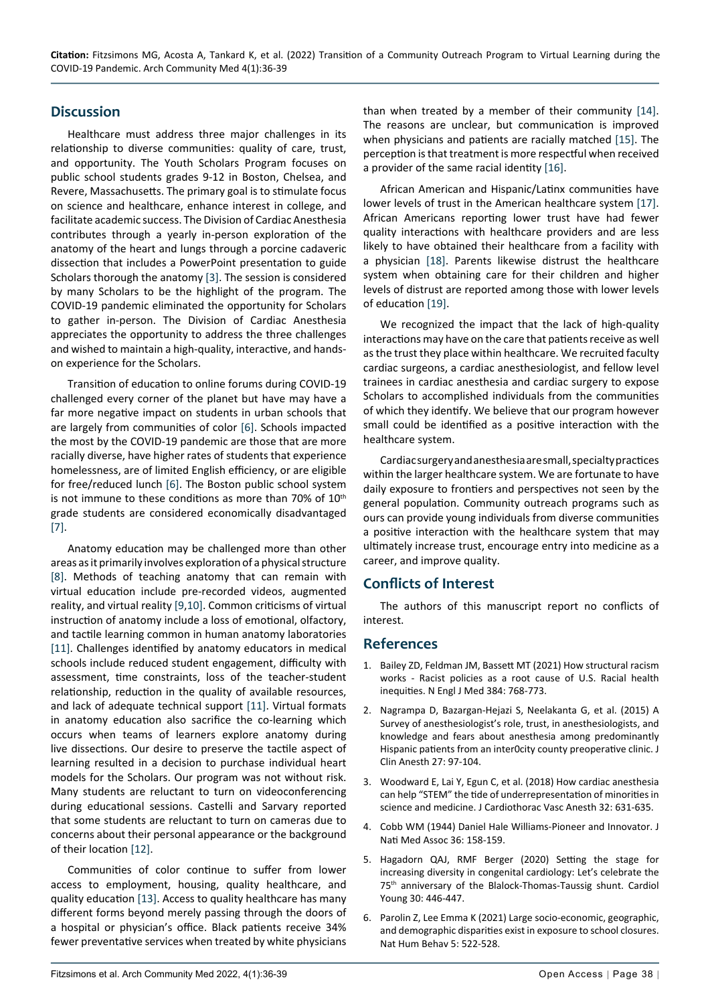# **Discussion**

Healthcare must address three major challenges in its relationship to diverse communities: quality of care, trust, and opportunity. The Youth Scholars Program focuses on public school students grades 9-12 in Boston, Chelsea, and Revere, Massachusetts. The primary goal is to stimulate focus on science and healthcare, enhance interest in college, and facilitate academic success. The Division of Cardiac Anesthesia contributes through a yearly in-person exploration of the anatomy of the heart and lungs through a porcine cadaveric dissection that includes a PowerPoint presentation to guide Scholars thorough the anatomy [\[3\]](#page-2-2). The session is considered by many Scholars to be the highlight of the program. The COVID-19 pandemic eliminated the opportunity for Scholars to gather in-person. The Division of Cardiac Anesthesia appreciates the opportunity to address the three challenges and wished to maintain a high-quality, interactive, and handson experience for the Scholars.

Transition of education to online forums during COVID-19 challenged every corner of the planet but have may have a far more negative impact on students in urban schools that are largely from communities of color [\[6](#page-2-5)]. Schools impacted the most by the COVID-19 pandemic are those that are more racially diverse, have higher rates of students that experience homelessness, are of limited English efficiency, or are eligible for free/reduced lunch [\[6](#page-2-5)]. The Boston public school system is not immune to these conditions as more than 70% of  $10<sup>th</sup>$ grade students are considered economically disadvantaged [[7\]](#page-3-6).

Anatomy education may be challenged more than other areas as it primarily involves exploration of a physical structure [[8\]](#page-3-7). Methods of teaching anatomy that can remain with virtual education include pre-recorded videos, augmented reality, and virtual reality [\[9](#page-3-8),[10](#page-3-9)]. Common criticisms of virtual instruction of anatomy include a loss of emotional, olfactory, and tactile learning common in human anatomy laboratories [[11\]](#page-3-10). Challenges identified by anatomy educators in medical schools include reduced student engagement, difficulty with assessment, time constraints, loss of the teacher-student relationship, reduction in the quality of available resources, and lack of adequate technical support [[11](#page-3-10)]. Virtual formats in anatomy education also sacrifice the co-learning which occurs when teams of learners explore anatomy during live dissections. Our desire to preserve the tactile aspect of learning resulted in a decision to purchase individual heart models for the Scholars. Our program was not without risk. Many students are reluctant to turn on videoconferencing during educational sessions. Castelli and Sarvary reported that some students are reluctant to turn on cameras due to concerns about their personal appearance or the background of their location [[12\]](#page-3-11).

Communities of color continue to suffer from lower access to employment, housing, quality healthcare, and quality education [\[13](#page-3-12)]. Access to quality healthcare has many different forms beyond merely passing through the doors of a hospital or physician's office. Black patients receive 34% fewer preventative services when treated by white physicians than when treated by a member of their community [\[14](#page-3-0)]. The reasons are unclear, but communication is improved when physicians and patients are racially matched [[15](#page-3-1)]. The perception is that treatment is more respectful when received a provider of the same racial identity [[16\]](#page-3-2).

African American and Hispanic/Latinx communities have lower levels of trust in the American healthcare system [\[17](#page-3-3)]. African Americans reporting lower trust have had fewer quality interactions with healthcare providers and are less likely to have obtained their healthcare from a facility with a physician [[18\]](#page-3-4). Parents likewise distrust the healthcare system when obtaining care for their children and higher levels of distrust are reported among those with lower levels of education [\[19](#page-3-5)].

We recognized the impact that the lack of high-quality interactions may have on the care that patients receive as well as the trust they place within healthcare. We recruited faculty cardiac surgeons, a cardiac anesthesiologist, and fellow level trainees in cardiac anesthesia and cardiac surgery to expose Scholars to accomplished individuals from the communities of which they identify. We believe that our program however small could be identified as a positive interaction with the healthcare system.

Cardiac surgery and anesthesia are small, specialty practices within the larger healthcare system. We are fortunate to have daily exposure to frontiers and perspectives not seen by the general population. Community outreach programs such as ours can provide young individuals from diverse communities a positive interaction with the healthcare system that may ultimately increase trust, encourage entry into medicine as a career, and improve quality.

# **Conflicts of Interest**

The authors of this manuscript report no conflicts of interest.

# **References**

- <span id="page-2-0"></span>1. [Bailey ZD, Feldman JM, Bassett MT \(2021\) How structural racism](https://pubmed.ncbi.nlm.nih.gov/33326717/)  [works - Racist policies as a root cause of U.S. Racial health](https://pubmed.ncbi.nlm.nih.gov/33326717/)  [inequities. N Engl J Med 384: 768-773.](https://pubmed.ncbi.nlm.nih.gov/33326717/)
- <span id="page-2-1"></span>2. [Nagrampa D, Bazargan-Hejazi S, Neelakanta G, et al. \(2015\) A](https://pubmed.ncbi.nlm.nih.gov/25605048/)  [Survey of anesthesiologist's role, trust, in anesthesiologists, and](https://pubmed.ncbi.nlm.nih.gov/25605048/)  [knowledge and fears about anesthesia among predominantly](https://pubmed.ncbi.nlm.nih.gov/25605048/)  [Hispanic patients from an inter0city county preoperative clinic. J](https://pubmed.ncbi.nlm.nih.gov/25605048/)  [Clin Anesth 27: 97-104.](https://pubmed.ncbi.nlm.nih.gov/25605048/)
- <span id="page-2-2"></span>3. [Woodward E, Lai Y, Egun C, et al. \(2018\) How cardiac anesthesia](https://pubmed.ncbi.nlm.nih.gov/29366746/)  [can help "STEM" the tide of underrepresentation of minorities in](https://pubmed.ncbi.nlm.nih.gov/29366746/)  [science and medicine. J Cardiothorac Vasc Anesth 32: 631-635.](https://pubmed.ncbi.nlm.nih.gov/29366746/)
- <span id="page-2-3"></span>4. [Cobb WM \(1944\) Daniel Hale Williams-Pioneer and Innovator. J](https://www.ncbi.nlm.nih.gov/pmc/articles/PMC2616588/)  [Nati Med Assoc 36: 158-159.](https://www.ncbi.nlm.nih.gov/pmc/articles/PMC2616588/)
- <span id="page-2-4"></span>5. [Hagadorn QAJ, RMF Berger \(2020\) Setting the stage for](https://pubmed.ncbi.nlm.nih.gov/31910925/)  [increasing diversity in congenital cardiology: Let's celebrate the](https://pubmed.ncbi.nlm.nih.gov/31910925/)  75<sup>th</sup> anniversary of the Blalock-Thomas-Taussig shunt. Cardiol [Young 30: 446-447.](https://pubmed.ncbi.nlm.nih.gov/31910925/)
- <span id="page-2-5"></span>6. [Parolin Z, Lee Emma K \(2021\) Large socio-economic, geographic,](https://pubmed.ncbi.nlm.nih.gov/33737734/)  [and demographic disparities exist in exposure to school closures.](https://pubmed.ncbi.nlm.nih.gov/33737734/)  [Nat Hum Behav 5: 522-528.](https://pubmed.ncbi.nlm.nih.gov/33737734/)